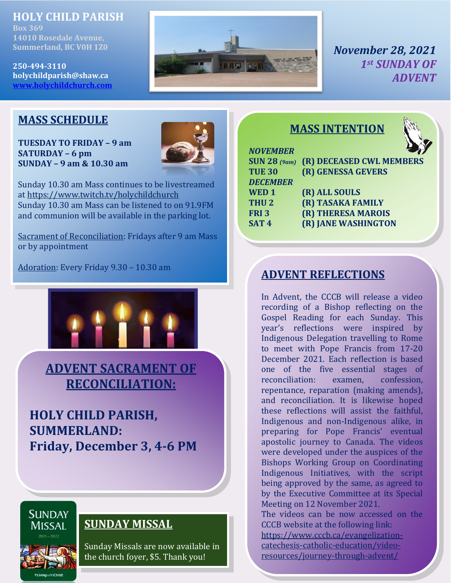## **HOLY CHILD PARISH**

**Box 369 14010 Rosedale Avenue, Summerland, BC V0H 1Z0**

**250-494-3110 holychildparish@shaw.ca [www.holychildchurch.com](file:///C:/Users/Holy%20Child/Desktop/www.holychildchurch.com)**



*NOVEMBER*

*November 28, 2021 1st SUNDAY OF ADVENT*

## **MASS SCHEDULE**

**TUESDAY TO FRIDAY – 9 am SATURDAY – 6 pm SUNDAY – 9 am & 10.30 am**



Sunday 10.30 am Mass continues to be livestreamed at<https://www.twitch.tv/holychildchurch> Sunday 10.30 am Mass can be listened to on 91.9FM and communion will be available in the parking lot.

Sacrament of Reconciliation: Fridays after 9 am Mass or by appointment

Adoration: Every Friday 9.30 – 10.30 am



**ADVENT SACRAMENT OF RECONCILIATION:**

**HOLY CHILD PARISH, SUMMERLAND: Friday, December 3, 4-6 PM**

# **SUNDAY MISSAL**

**SUNDAY MISSAL** 

**\*LivingwithChrist** 

Sunday Missals are now available in the church foyer, \$5. Thank you!

## **MASS INTENTION**



| Ý,<br>R<br>ı<br>٠<br>$\mathcal{L}(\mathcal{L})$<br>and the state of the state of the state of the state of the state of the state of the state of the state of th<br><b>Contract Contract Contract Contract Contract Contract Contract Contract Contract Contract Contract Contract C</b><br>i |  |
|------------------------------------------------------------------------------------------------------------------------------------------------------------------------------------------------------------------------------------------------------------------------------------------------|--|

 $\mathfrak{g}_\infty$ 

|                  | SUN 28 (9am) (R) DECEASED CWL MEMBERS |
|------------------|---------------------------------------|
| <b>TUE 30</b>    | (R) GENESSA GEVERS                    |
| <b>DECEMBER</b>  |                                       |
| WED <sub>1</sub> | (R) ALL SOULS                         |
| THU <sub>2</sub> | (R) TASAKA FAMILY                     |
| FRI <sub>3</sub> | (R) THERESA MAROIS                    |
| SAT <sub>4</sub> | (R) JANE WASHINGTON                   |
|                  |                                       |

## **ADVENT REFLECTIONS**

In Advent, the CCCB will release a video recording of a Bishop reflecting on the Gospel Reading for each Sunday. This year's reflections were inspired by Indigenous Delegation travelling to Rome to meet with Pope Francis from 17-20 December 2021. Each reflection is based one of the five essential stages of reconciliation: examen, confession, repentance, reparation (making amends), and reconciliation. It is likewise hoped these reflections will assist the faithful, Indigenous and non-Indigenous alike, in preparing for Pope Francis' eventual apostolic journey to Canada. The videos were developed under the auspices of the Bishops Working Group on Coordinating Indigenous Initiatives, with the script being approved by the same, as agreed to by the Executive Committee at its Special Meeting on 12 November 2021.

The videos can be now accessed on the CCCB website at the following link: [https://www.cccb.ca/evangelization](https://www.cccb.ca/evangelization-catechesis-catholic-education/video-resources/journey-through-advent/)[catechesis-catholic-education/video](https://www.cccb.ca/evangelization-catechesis-catholic-education/video-resources/journey-through-advent/)[resources/journey-through-advent/](https://www.cccb.ca/evangelization-catechesis-catholic-education/video-resources/journey-through-advent/)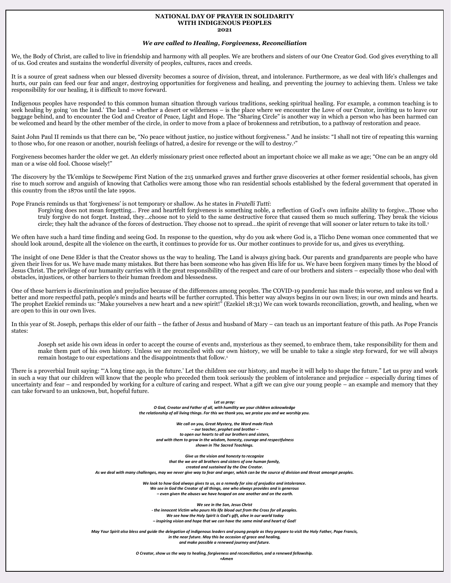#### **NATIONAL DAY OF PRAYER IN SOLIDARITY WITH INDIGENOUS PEOPLES**

#### **2021**

#### *We are called to Healing, Forgiveness, Reconciliation*

We, the Body of Christ, are called to live in friendship and harmony with all peoples. We are brothers and sisters of our One Creator God. God gives everything to all of us. God creates and sustains the wonderful diversity of peoples, cultures, races and creeds.

It is a source of great sadness when our blessed diversity becomes a source of division, threat, and intolerance. Furthermore, as we deal with life's challenges and hurts, our pain can feed our fear and anger, destroying opportunities for forgiveness and healing, and preventing the journey to achieving them. Unless we take responsibility for our healing, it is difficult to move forward.

Indigenous peoples have responded to this common human situation through various traditions, seeking spiritual healing. For example, a common teaching is to seek healing by going 'on the land.' The land – whether a desert or wilderness – is the place where we encounter the Love of our Creator, inviting us to leave our baggage behind, and to encounter the God and Creator of Peace, Light and Hope. The "Sharing Circle" is another way in which a person who has been harmed can be welcomed and heard by the other member of the circle, in order to move from a place of brokenness and retribution, to a pathway of restoration and peace.

Saint John Paul II reminds us that there can be, "No peace without justice, no justice without forgiveness." And he insists: "I shall not tire of repeating this warning to those who, for one reason or another, nourish feelings of hatred, a desire for revenge or the will to destroy.<sup>1</sup>

Forgiveness becomes harder the older we get. An elderly missionary priest once reflected about an important choice we all make as we age; "One can be an angry old man or a wise old fool. Choose wisely!"

The discovery by the Tk'emlúps te Secwépemc First Nation of the 215 unmarked graves and further grave discoveries at other former residential schools, has given rise to much sorrow and anguish of knowing that Catholics were among those who ran residential schools established by the federal government that operated in this country from the 1870s until the late 1990s.

Pope Francis reminds us that 'forgiveness' is not temporary or shallow. As he states in *Fratelli Tutti*:

Forgiving does not mean forgetting… Free and heartfelt forgiveness is something noble, a reflection of God's own infinite ability to forgive…Those who truly forgive do not forget. Instead, they…choose not to yield to the same destructive force that caused them so much suffering. They break the vicious circle; they halt the advance of the forces of destruction. They choose not to spread…the spirit of revenge that will sooner or later return to take its toll.<sup>1</sup>

We often have such a hard time finding and seeing God. In response to the question, why do you ask where God is, a Tlicho Dene woman once commented that we should look around, despite all the violence on the earth, it continues to provide for us. Our mother continues to provide for us, and gives us everything.

The insight of one Dene Elder is that the Creator shows us the way to healing. The Land is always giving back. Our parents and grandparents are people who have given their lives for us. We have made many mistakes. But there has been someone who has given His life for us. We have been forgiven many times by the blood of Jesus Christ. The privilege of our humanity carries with it the great responsibility of the respect and care of our brothers and sisters – especially those who deal with obstacles, injustices, or other barriers to their human freedom and blessedness.

One of these barriers is discrimination and prejudice because of the differences among peoples. The COVID-19 pandemic has made this worse, and unless we find a better and more respectful path, people's minds and hearts will be further corrupted. This better way always begins in our own lives; in our own minds and hearts. The prophet Ezekiel reminds us: "Make yourselves a new heart and a new spirit!" (Ezekiel 18:31) We can work towards reconciliation, growth, and healing, when we are open to this in our own lives.

In this year of St. Joseph, perhaps this elder of our faith – the father of Jesus and husband of Mary – can teach us an important feature of this path. As Pope Francis states:

Joseph set aside his own ideas in order to accept the course of events and, mysterious as they seemed, to embrace them, take responsibility for them and make them part of his own history. Unless we are reconciled with our own history, we will be unable to take a single step forward, for we will always remain hostage to our expectations and the disappointments that follow.<sup>1</sup>

There is a proverbial Inuit saying: "'A long time ago, in the future.' Let the children see our history, and maybe it will help to shape the future." Let us pray and work in such a way that our children will know that the people who preceded them took seriously the problem of intolerance and prejudice – especially during times of uncertainty and fear – and responded by working for a culture of caring and respect. What a gift we can give our young people – an example and memory that they can take forward to an unknown, but, hopeful future.

> *Let us pray: O God, Creator and Father of all, with humility we your children acknowledge the relationship of all living things. For this we thank you, we praise you and we worship you.*

*We call on you, Great Mystery, the Word made Flesh – our teacher, prophet and brother – to open our hearts to all our brothers and sisters, and with them to grow in the wisdom, honesty, courage and respectfulness shown in The Sacred Teachings.* 

*Give us the vision and honesty to recognize that the we are all brothers and sisters of one human family, created and sustained by the One Creator. As we deal with many challenges, may we never give way to fear and anger, which can be the source of division and threat amongst peoples.* 

> *We look to how God always gives to us, as a remedy for sins of prejudice and intolerance. We see in God the Creator of all things, one who always provides and is generous – even given the abuses we have heaped on one another and on the earth.*

*We see in the Son, Jesus Christ - the innocent Victim who pours His life blood out from the Cross for all peoples. We see how the Holy Spirit is God's gift, alive in our world today – inspiring vision and hope that we can have the same mind and heart of God!*

May Your Spirit also bless and guide the delegation of indigenous leaders and young people as they prepare to visit the Holy Father, Pope Francis,<br>in the near future. May this be occasion of grace and healing, *and make possible a renewed journey and future.*

*O Creator, show us the way to healing, forgiveness and reconciliation, and a renewed fellowship.*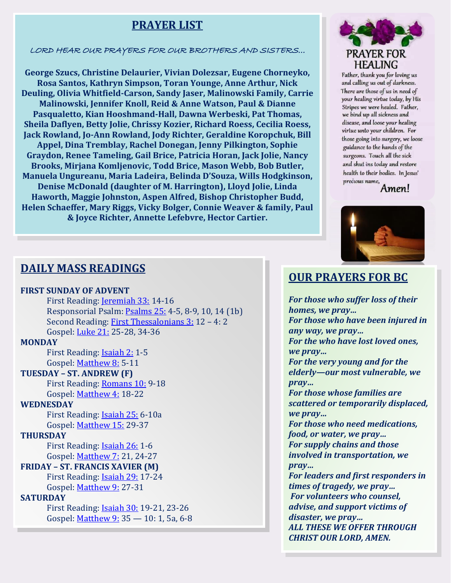## **PRAYER LIST**

LORD HEAR OUR PRAYERS FOR OUR BROTHERS AND SISTERS…

**George Szucs, Christine Delaurier, Vivian Dolezsar, Eugene Chorneyko, Rosa Santos, Kathryn Simpson, Toran Younge, Anne Arthur, Nick Deuling, Olivia Whitfield-Carson, Sandy Jaser, Malinowski Family, Carrie Malinowski, Jennifer Knoll, Reid & Anne Watson, Paul & Dianne Pasqualetto, Kian Hooshmand-Hall, Dawna Werbeski, Pat Thomas, Sheila Daflyen, Betty Jolie, Chrissy Kozier, Richard Roess, Cecilia Roess, Jack Rowland, Jo-Ann Rowland, Jody Richter, Geraldine Koropchuk, Bill Appel, Dina Tremblay, Rachel Donegan, Jenny Pilkington, Sophie Graydon, Renee Tameling, Gail Brice, Patricia Horan, Jack Jolie, Nancy Brooks, Mirjana Komljenovic, Todd Brice, Mason Webb, Bob Butler, Manuela Ungureanu, Maria Ladeira, Belinda D'Souza, Wills Hodgkinson, Denise McDonald (daughter of M. Harrington), Lloyd Jolie, Linda Haworth, Maggie Johnston, Aspen Alfred, Bishop Christopher Budd, Helen Schaeffer, Mary Riggs, Vicky Bolger, Connie Weaver & family, Paul & Joyce Richter, Annette Lefebvre, Hector Cartier.**



Father, thank you for loving us and calling us out of darkness. There are those of us in need of your healing virtue today, by His Stripes we were healed. Father, we bind up all sickness and disease, and loose your healing virtue unto your children. For those going into surgery, we loose guidance to the hands of the surgeons. Touch all the sick and shut ins today and restore health to their bodies. In Jesus' precious name,

Amen!



### **DAILY MASS READINGS**

#### **FIRST SUNDAY OF ADVENT**

First Reading: **[Jeremiah 33:](https://www.catholicgallery.org/bible-drb/jeremiah-33/) 14-16** Responsorial Psalm: [Psalms 25:](https://www.catholicgallery.org/bible-drb/psalms-25/) 4-5, 8-9, 10, 14 (1b)  Second Reading: [First Thessalonians 3:](https://www.catholicgallery.org/bible-drb/1-thessalonians-3/) 12 – 4: 2  Gospel: [Luke 21:](https://www.catholicgallery.org/bible-drb/luke-21/) 25-28, 34-36

#### **MONDAY**

First Reading: [Isaiah 2:](https://www.catholicgallery.org/bible-drb/isaiah-2/) 1-5 Gospel: [Matthew 8:](https://www.catholicgallery.org/bible-drb/matthew-8/) 5-11

#### **TUESDAY – ST. ANDREW (F)**

First Reading: [Romans 10:](https://www.catholicgallery.org/bible-drb/romans-10/) 9-18 Gospel: [Matthew 4:](https://www.catholicgallery.org/bible-drb/matthew-4/) 18-22

#### **WEDNESDAY**

First Reading: [Isaiah 25:](https://www.catholicgallery.org/bible-drb/isaiah-25/) 6-10a Gospel: [Matthew 15:](https://www.catholicgallery.org/bible-drb/matthew-15/) 29-37

#### **THURSDAY**

First Reading: [Isaiah 26:](https://www.catholicgallery.org/bible-drb/isaiah-26/) 1-6 Gospel: [Matthew 7:](https://www.catholicgallery.org/bible-drb/matthew-7/) 21, 24-27

### **FRIDAY – ST. FRANCIS XAVIER (M)**

First Reading: [Isaiah 29:](https://www.catholicgallery.org/bible-drb/isaiah-29/) 17-24 Gospel: [Matthew 9:](https://www.catholicgallery.org/bible-drb/matthew-9/) 27-31

### **SATURDAY**

First Reading: [Isaiah 30:](https://www.catholicgallery.org/bible-drb/isaiah-30/) 19-21, 23-26 Gospel: [Matthew 9:](https://www.catholicgallery.org/bible-drb/matthew-9/) 35 — 10: 1, 5a, 6-8

### **OUR PRAYERS FOR BC**

*For those who suffer loss of their* 

*homes, we pray… For those who have been injured in any way, we pray… For the who have lost loved ones, we pray… For the very young and for the elderly—our most vulnerable, we pray… For those whose families are scattered or temporarily displaced, we pray… For those who need medications, food, or water, we pray… For supply chains and those involved in transportation, we pray… For leaders and first responders in times of tragedy, we pray… For volunteers who counsel, advise, and support victims of disaster, we pray… ALL THESE WE OFFER THROUGH CHRIST OUR LORD, AMEN.*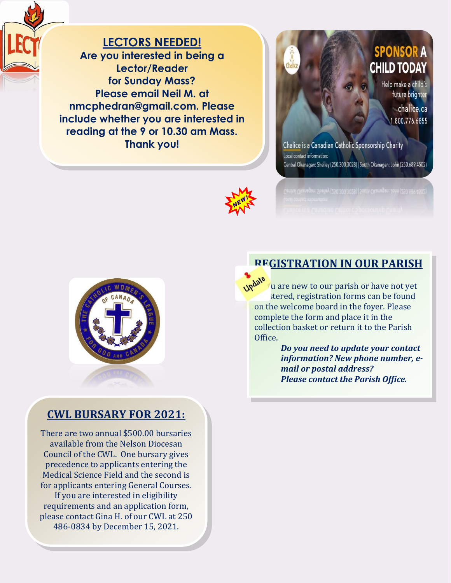**LECTORS NEEDED! Are you interested in being a Lector/Reader for Sunday Mass? Please email Neil M. at nmcphedran@gmail.com. Please include whether you are interested in reading at the 9 or 10.30 am Mass. Thank you!**



**SPONSOR A CHILD TODAY** 

> Help make a child's future brighter chalice.ca 1.800.776.6855

Chalice is a Canadian Catholic Sponsorship Charity Local contact information: Central Okanagan: Shelley (250.300.3028) | South Okanagan: John (250.689.4502)





## **CWL BURSARY FOR 2021:**

There are two annual \$500.00 bursaries available from the Nelson Diocesan Council of the CWL. One bursary gives precedence to applicants entering the Medical Science Field and the second is for applicants entering General Courses. If you are interested in eligibility requirements and an application form, please contact Gina H. of our CWL at 250 486-0834 by December 15, 2021.

## **REGISTRATION IN OUR PARISH**

u are new to our parish or have not yet stered, registration forms can be found on the welcome board in the foyer. Please complete the form and place it in the collection basket or return it to the Parish Office.

*Do you need to update your contact information? New phone number, email or postal address? Please contact the Parish Office.*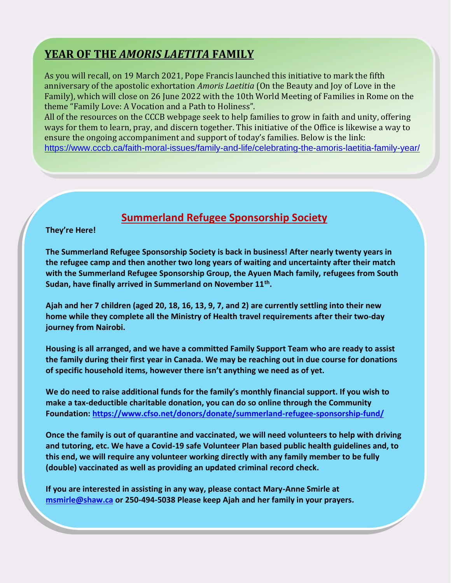## **YEAR OF THE** *AMORIS LAETITA* **FAMILY**

As you will recall, on 19 March 2021, Pope Francis launched this initiative to mark the fifth anniversary of the apostolic exhortation *Amoris Laetitia* (On the Beauty and Joy of Love in the Family), which will close on 26 June 2022 with the 10th World Meeting of Families in Rome on the theme "Family Love: A Vocation and a Path to Holiness".

All of the resources on the CCCB webpage seek to help families to grow in faith and unity, offering ways for them to learn, pray, and discern together. This initiative of the Office is likewise a way to ensure the ongoing accompaniment and support of today's families. Below is the link: <https://www.cccb.ca/faith-moral-issues/family-and-life/celebrating-the-amoris-laetitia-family-year/>

## **Summerland Refugee Sponsorship Society**

#### **They're Here!**

**The Summerland Refugee Sponsorship Society is back in business! After nearly twenty years in the refugee camp and then another two long years of waiting and uncertainty after their match with the Summerland Refugee Sponsorship Group, the Ayuen Mach family, refugees from South Sudan, have finally arrived in Summerland on November 11th .** 

**Ajah and her 7 children (aged 20, 18, 16, 13, 9, 7, and 2) are currently settling into their new home while they complete all the Ministry of Health travel requirements after their two-day journey from Nairobi.** 

**Housing is all arranged, and we have a committed Family Support Team who are ready to assist the family during their first year in Canada. We may be reaching out in due course for donations of specific household items, however there isn't anything we need as of yet.**

**We do need to raise additional funds for the family's monthly financial support. If you wish to make a tax-deductible charitable donation, you can do so online through the Community Foundation:<https://www.cfso.net/donors/donate/summerland-refugee-sponsorship-fund/>**

**Once the family is out of quarantine and vaccinated, we will need volunteers to help with driving and tutoring, etc. We have a Covid-19 safe Volunteer Plan based public health guidelines and, to this end, we will require any volunteer working directly with any family member to be fully (double) vaccinated as well as providing an updated criminal record check.** 

**If you are interested in assisting in any way, please contact Mary-Anne Smirle at [msmirle@shaw.ca](mailto:msmirle@shaw.ca) or 250-494-5038 Please keep Ajah and her family in your prayers.**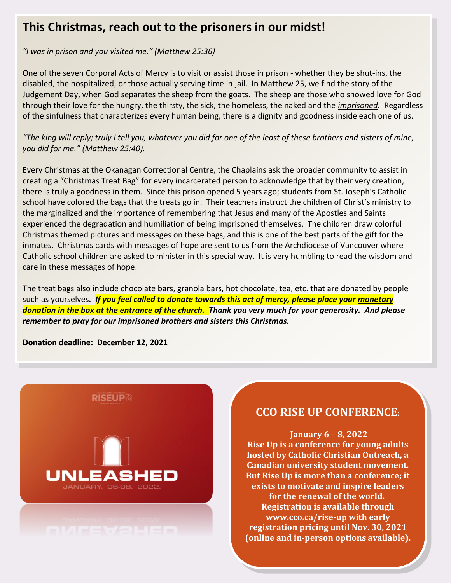## **This Christmas, reach out to the prisoners in our midst!**

*"I was in prison and you visited me." (Matthew 25:36)*

One of the seven Corporal Acts of Mercy is to visit or assist those in prison - whether they be shut-ins, the disabled, the hospitalized, or those actually serving time in jail. In Matthew 25, we find the story of the Judgement Day, when God separates the sheep from the goats. The sheep are those who showed love for God through their love for the hungry, the thirsty, the sick, the homeless, the naked and the *imprisoned.* Regardless of the sinfulness that characterizes every human being, there is a dignity and goodness inside each one of us.

*"The king will reply; truly I tell you, whatever you did for one of the least of these brothers and sisters of mine, you did for me." (Matthew 25:40).*

Every Christmas at the Okanagan Correctional Centre, the Chaplains ask the broader community to assist in creating a "Christmas Treat Bag" for every incarcerated person to acknowledge that by their very creation, there is truly a goodness in them. Since this prison opened 5 years ago; students from St. Joseph's Catholic school have colored the bags that the treats go in. Their teachers instruct the children of Christ's ministry to the marginalized and the importance of remembering that Jesus and many of the Apostles and Saints experienced the degradation and humiliation of being imprisoned themselves. The children draw colorful Christmas themed pictures and messages on these bags, and this is one of the best parts of the gift for the inmates. Christmas cards with messages of hope are sent to us from the Archdiocese of Vancouver where Catholic school children are asked to minister in this special way. It is very humbling to read the wisdom and care in these messages of hope.

The treat bags also include chocolate bars, granola bars, hot chocolate, tea, etc. that are donated by people such as yourselves*. If you feel called to donate towards this act of mercy, please place your monetary donation in the box at the entrance of the church. Thank you very much for your generosity. And please remember to pray for our imprisoned brothers and sisters this Christmas.*

**Donation deadline: December 12, 2021**



## **CCO RISE UP CONFERENCE:**

**January 6 – 8, 2022 Rise Up is a conference for young adults hosted by Catholic Christian Outreach, a Canadian university student movement. But Rise Up is more than a conference; it exists to motivate and inspire leaders for the renewal of the world. Registration is available through [www.cco.ca/rise-up](http://www.cco.ca/rise-up) with early registration pricing until Nov. 30, 2021 (online and in-person options available).**